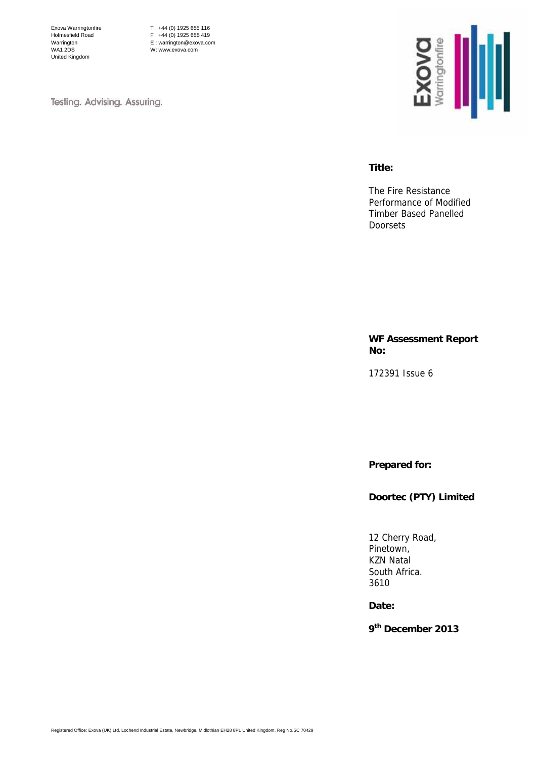Exova Warringtonfire Holmesfield Road Warrington WA1 2DS United Kingdom

T : +44 (0) 1925 655 116 F : +44 (0) 1925 655 419 E : warrington@exova.com W: www.exova.com

Testing. Advising. Assuring.



#### **Title:**

The Fire Resistance Performance of Modified Timber Based Panelled Doorsets

**WF Assessment Report No:** 

172391 Issue 6

**Prepared for:** 

**Doortec (PTY) Limited**

12 Cherry Road, Pinetown, KZN Natal South Africa. 3610

**Date:** 

**9th December 2013**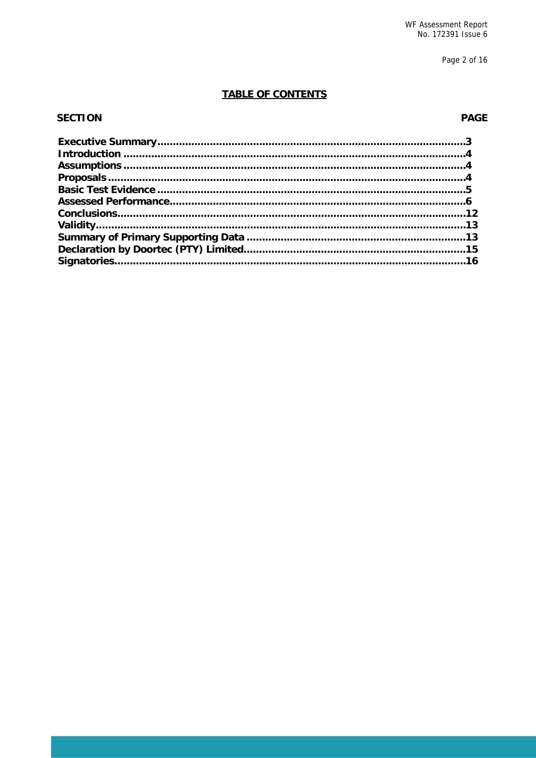Page 2 of 16

### **TABLE OF CONTENTS**

#### **SECTION**

### **PAGE**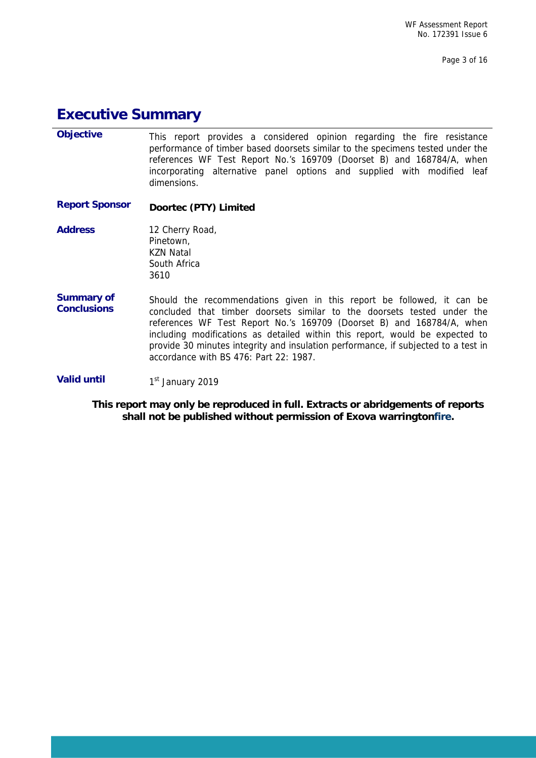# **Executive Summary**

L

| <b>Objective</b>                        | This report provides a considered opinion regarding the fire resistance<br>performance of timber based doorsets similar to the specimens tested under the<br>references WF Test Report No.'s 169709 (Doorset B) and 168784/A, when<br>incorporating alternative panel options and supplied with modified leaf<br>dimensions.                                                                                                               |
|-----------------------------------------|--------------------------------------------------------------------------------------------------------------------------------------------------------------------------------------------------------------------------------------------------------------------------------------------------------------------------------------------------------------------------------------------------------------------------------------------|
| <b>Report Sponsor</b>                   | Doortec (PTY) Limited                                                                                                                                                                                                                                                                                                                                                                                                                      |
| <b>Address</b>                          | 12 Cherry Road,<br>Pinetown,<br><b>KZN Natal</b><br>South Africa<br>3610                                                                                                                                                                                                                                                                                                                                                                   |
| <b>Summary of</b><br><b>Conclusions</b> | Should the recommendations given in this report be followed, it can be<br>concluded that timber doorsets similar to the doorsets tested under the<br>references WF Test Report No.'s 169709 (Doorset B) and 168784/A, when<br>including modifications as detailed within this report, would be expected to<br>provide 30 minutes integrity and insulation performance, if subjected to a test in<br>accordance with BS 476: Part 22: 1987. |
| <b>Valid until</b>                      | 1 <sup>st</sup> January 2019                                                                                                                                                                                                                                                                                                                                                                                                               |

**This report may only be reproduced in full. Extracts or abridgements of reports shall not be published without permission of Exova warringtonfire.**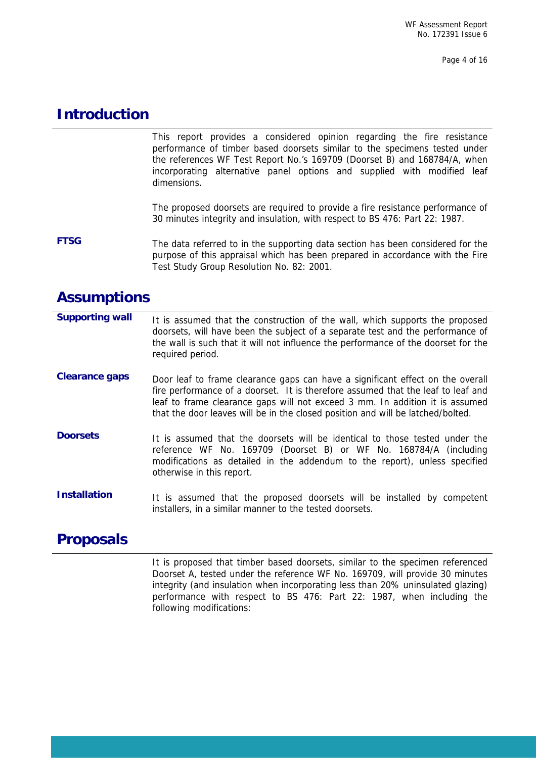Page 4 of 16

# **Introduction**

This report provides a considered opinion regarding the fire resistance performance of timber based doorsets similar to the specimens tested under the references WF Test Report No.'s 169709 (Doorset B) and 168784/A, when incorporating alternative panel options and supplied with modified leaf dimensions.

The proposed doorsets are required to provide a fire resistance performance of 30 minutes integrity and insulation, with respect to BS 476: Part 22: 1987.

**FTSG** The data referred to in the supporting data section has been considered for the purpose of this appraisal which has been prepared in accordance with the Fire Test Study Group Resolution No. 82: 2001.

## **Assumptions**

| <b>Supporting wall</b> | It is assumed that the construction of the wall, which supports the proposed<br>doorsets, will have been the subject of a separate test and the performance of<br>the wall is such that it will not influence the performance of the doorset for the<br>required period.                                                              |
|------------------------|---------------------------------------------------------------------------------------------------------------------------------------------------------------------------------------------------------------------------------------------------------------------------------------------------------------------------------------|
| <b>Clearance gaps</b>  | Door leaf to frame clearance gaps can have a significant effect on the overall<br>fire performance of a doorset. It is therefore assumed that the leaf to leaf and<br>leaf to frame clearance gaps will not exceed 3 mm. In addition it is assumed<br>that the door leaves will be in the closed position and will be latched/bolted. |
| <b>Doorsets</b>        | It is assumed that the doorsets will be identical to those tested under the<br>reference WF No. 169709 (Doorset B) or WF No. 168784/A (including<br>modifications as detailed in the addendum to the report), unless specified<br>otherwise in this report.                                                                           |
| <b>Installation</b>    | It is assumed that the proposed doorsets will be installed by competent<br>installers, in a similar manner to the tested doorsets.                                                                                                                                                                                                    |

# **Proposals**

L

It is proposed that timber based doorsets, similar to the specimen referenced Doorset A, tested under the reference WF No. 169709, will provide 30 minutes integrity (and insulation when incorporating less than 20% uninsulated glazing) performance with respect to BS 476: Part 22: 1987, when including the following modifications: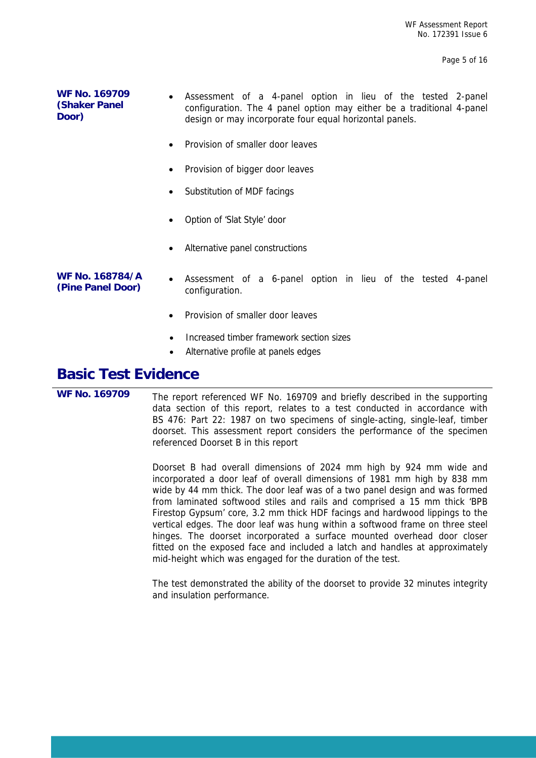Page 5 of 16

| <b>WF No. 169709</b><br><b>(Shaker Panel)</b><br>Door) | $\bullet$ | Assessment of a 4-panel option in lieu of the tested 2-panel<br>configuration. The 4 panel option may either be a traditional 4-panel<br>design or may incorporate four equal horizontal panels. |
|--------------------------------------------------------|-----------|--------------------------------------------------------------------------------------------------------------------------------------------------------------------------------------------------|
|                                                        |           | • Provision of smaller door leaves                                                                                                                                                               |

- Provision of bigger door leaves
- Substitution of MDF facings
- Option of 'Slat Style' door
- Alternative panel constructions
- **WF No. 168784/A**  WF No. 168784/A • Assessment of a 6-panel option in lieu of the tested 4-panel<br>(Pine Panel Door) *configuration* configuration.
	- Provision of smaller door leaves
	- Increased timber framework section sizes
	- Alternative profile at panels edges

## **Basic Test Evidence**

L

**WF No. 169709** The report referenced WF No. 169709 and briefly described in the supporting data section of this report, relates to a test conducted in accordance with BS 476: Part 22: 1987 on two specimens of single-acting, single-leaf, timber doorset. This assessment report considers the performance of the specimen referenced Doorset B in this report

> Doorset B had overall dimensions of 2024 mm high by 924 mm wide and incorporated a door leaf of overall dimensions of 1981 mm high by 838 mm wide by 44 mm thick. The door leaf was of a two panel design and was formed from laminated softwood stiles and rails and comprised a 15 mm thick 'BPB Firestop Gypsum' core, 3.2 mm thick HDF facings and hardwood lippings to the vertical edges. The door leaf was hung within a softwood frame on three steel hinges. The doorset incorporated a surface mounted overhead door closer fitted on the exposed face and included a latch and handles at approximately mid-height which was engaged for the duration of the test.

> The test demonstrated the ability of the doorset to provide 32 minutes integrity and insulation performance.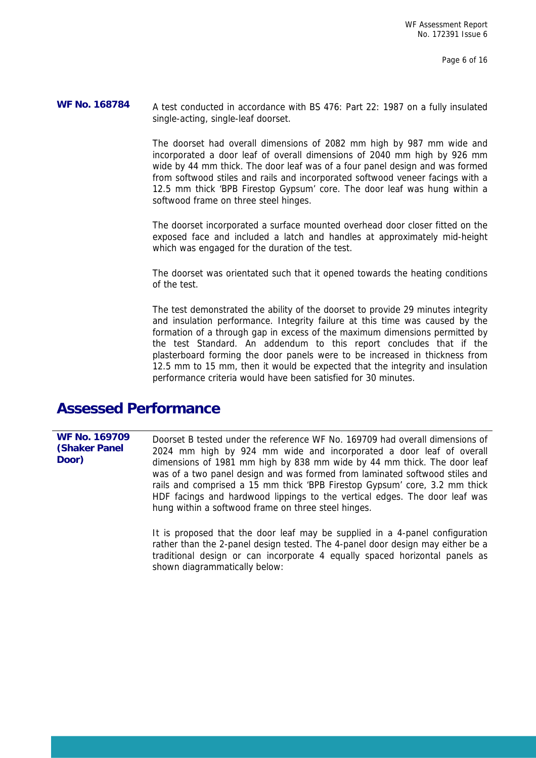WF No. 168784 A test conducted in accordance with BS 476: Part 22: 1987 on a fully insulated single-acting, single-leaf doorset.

> The doorset had overall dimensions of 2082 mm high by 987 mm wide and incorporated a door leaf of overall dimensions of 2040 mm high by 926 mm wide by 44 mm thick. The door leaf was of a four panel design and was formed from softwood stiles and rails and incorporated softwood veneer facings with a 12.5 mm thick 'BPB Firestop Gypsum' core. The door leaf was hung within a softwood frame on three steel hinges.

> The doorset incorporated a surface mounted overhead door closer fitted on the exposed face and included a latch and handles at approximately mid-height which was engaged for the duration of the test.

> The doorset was orientated such that it opened towards the heating conditions of the test.

> The test demonstrated the ability of the doorset to provide 29 minutes integrity and insulation performance. Integrity failure at this time was caused by the formation of a through gap in excess of the maximum dimensions permitted by the test Standard. An addendum to this report concludes that if the plasterboard forming the door panels were to be increased in thickness from 12.5 mm to 15 mm, then it would be expected that the integrity and insulation performance criteria would have been satisfied for 30 minutes.

### **Assessed Performance**

L

**WF No. 169709 (Shaker Panel Door)**  Doorset B tested under the reference WF No. 169709 had overall dimensions of 2024 mm high by 924 mm wide and incorporated a door leaf of overall dimensions of 1981 mm high by 838 mm wide by 44 mm thick. The door leaf was of a two panel design and was formed from laminated softwood stiles and rails and comprised a 15 mm thick 'BPB Firestop Gypsum' core, 3.2 mm thick HDF facings and hardwood lippings to the vertical edges. The door leaf was hung within a softwood frame on three steel hinges.

> It is proposed that the door leaf may be supplied in a 4-panel configuration rather than the 2-panel design tested. The 4-panel door design may either be a traditional design or can incorporate 4 equally spaced horizontal panels as shown diagrammatically below: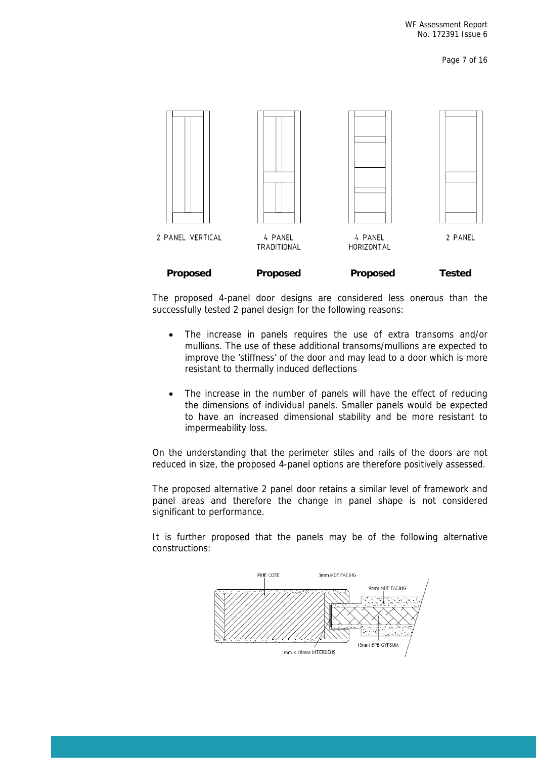Page 7 of 16



The proposed 4-panel door designs are considered less onerous than the successfully tested 2 panel design for the following reasons:

- The increase in panels requires the use of extra transoms and/or mullions. The use of these additional transoms/mullions are expected to improve the 'stiffness' of the door and may lead to a door which is more resistant to thermally induced deflections
- The increase in the number of panels will have the effect of reducing the dimensions of individual panels. Smaller panels would be expected to have an increased dimensional stability and be more resistant to impermeability loss.

On the understanding that the perimeter stiles and rails of the doors are not reduced in size, the proposed 4-panel options are therefore positively assessed.

The proposed alternative 2 panel door retains a similar level of framework and panel areas and therefore the change in panel shape is not considered significant to performance.

It is further proposed that the panels may be of the following alternative constructions:

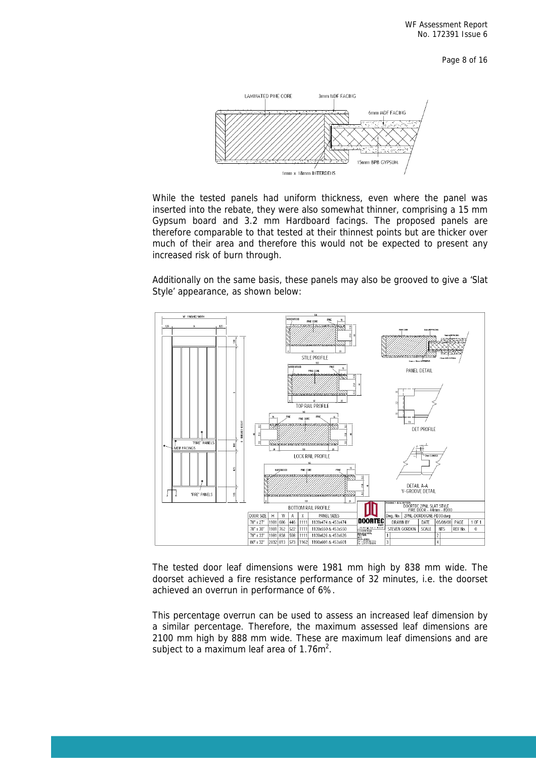Page 8 of 16



While the tested panels had uniform thickness, even where the panel was inserted into the rebate, they were also somewhat thinner, comprising a 15 mm Gypsum board and 3.2 mm Hardboard facings. The proposed panels are therefore comparable to that tested at their thinnest points but are thicker over much of their area and therefore this would not be expected to present any increased risk of burn through.

Additionally on the same basis, these panels may also be grooved to give a 'Slat Style' appearance, as shown below:



The tested door leaf dimensions were 1981 mm high by 838 mm wide. The doorset achieved a fire resistance performance of 32 minutes, i.e. the doorset achieved an overrun in performance of 6%.

This percentage overrun can be used to assess an increased leaf dimension by a similar percentage. Therefore, the maximum assessed leaf dimensions are 2100 mm high by 888 mm wide. These are maximum leaf dimensions and are subject to a maximum leaf area of  $1.76m^2$ .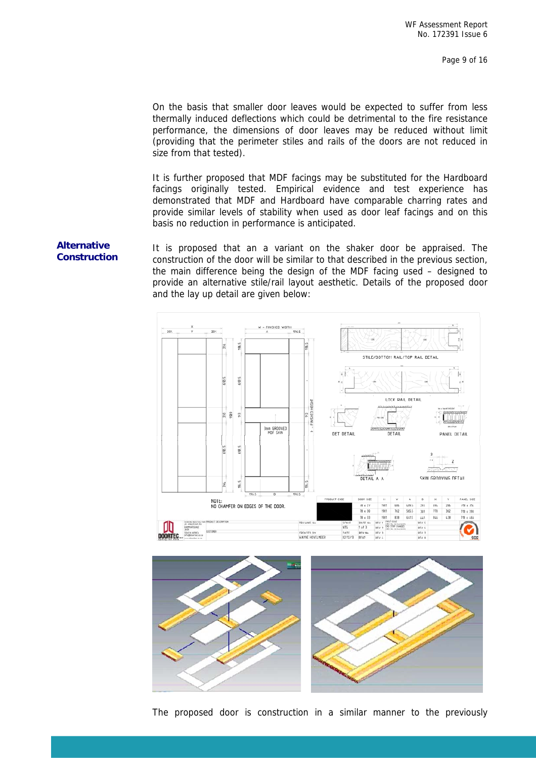On the basis that smaller door leaves would be expected to suffer from less thermally induced deflections which could be detrimental to the fire resistance performance, the dimensions of door leaves may be reduced without limit (providing that the perimeter stiles and rails of the doors are not reduced in size from that tested).

It is further proposed that MDF facings may be substituted for the Hardboard facings originally tested. Empirical evidence and test experience has demonstrated that MDF and Hardboard have comparable charring rates and provide similar levels of stability when used as door leaf facings and on this basis no reduction in performance is anticipated.

**Alternative It is proposed that an a variant on the shaker door be appraised. The Construction construction of the door will be similar to that described in the previous section** construction of the door will be similar to that described in the previous section, the main difference being the design of the MDF facing used – designed to provide an alternative stile/rail layout aesthetic. Details of the proposed door and the lay up detail are given below:





The proposed door is construction in a similar manner to the previously

# **Alternative**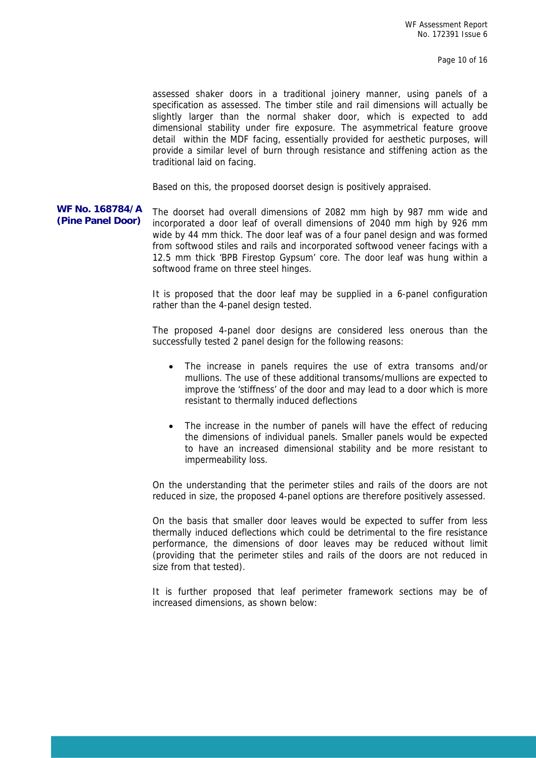Page 10 of 16

assessed shaker doors in a traditional joinery manner, using panels of a specification as assessed. The timber stile and rail dimensions will actually be slightly larger than the normal shaker door, which is expected to add dimensional stability under fire exposure. The asymmetrical feature groove detail within the MDF facing, essentially provided for aesthetic purposes, will provide a similar level of burn through resistance and stiffening action as the traditional laid on facing.

Based on this, the proposed doorset design is positively appraised.

**WF No. 168784/A**  WF No. 168784/A The doorset had overall dimensions of 2082 mm high by 987 mm wide and<br>(Pine Panel Door) incorporated a door leaf of overall dimensions of 2040 mm high by 926 mm incorporated a door leaf of overall dimensions of 2040 mm high by 926 mm wide by 44 mm thick. The door leaf was of a four panel design and was formed from softwood stiles and rails and incorporated softwood veneer facings with a 12.5 mm thick 'BPB Firestop Gypsum' core. The door leaf was hung within a softwood frame on three steel hinges.

> It is proposed that the door leaf may be supplied in a 6-panel configuration rather than the 4-panel design tested.

> The proposed 4-panel door designs are considered less onerous than the successfully tested 2 panel design for the following reasons:

- The increase in panels requires the use of extra transoms and/or mullions. The use of these additional transoms/mullions are expected to improve the 'stiffness' of the door and may lead to a door which is more resistant to thermally induced deflections
- The increase in the number of panels will have the effect of reducing the dimensions of individual panels. Smaller panels would be expected to have an increased dimensional stability and be more resistant to impermeability loss.

On the understanding that the perimeter stiles and rails of the doors are not reduced in size, the proposed 4-panel options are therefore positively assessed.

On the basis that smaller door leaves would be expected to suffer from less thermally induced deflections which could be detrimental to the fire resistance performance, the dimensions of door leaves may be reduced without limit (providing that the perimeter stiles and rails of the doors are not reduced in size from that tested).

It is further proposed that leaf perimeter framework sections may be of increased dimensions, as shown below: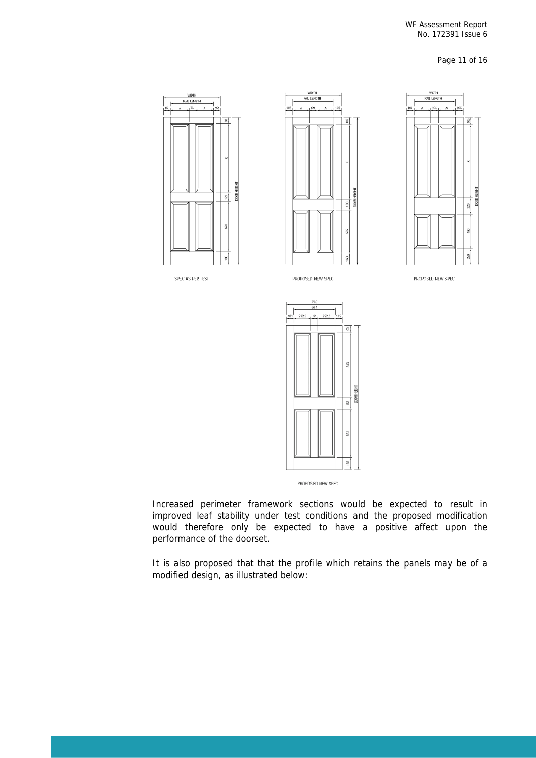#### WF Assessment Report No. 172391 Issue 6

Page 11 of 16



PROPOSED NEW SPEC

Increased perimeter framework sections would be expected to result in improved leaf stability under test conditions and the proposed modification would therefore only be expected to have a positive affect upon the performance of the doorset.

It is also proposed that that the profile which retains the panels may be of a modified design, as illustrated below: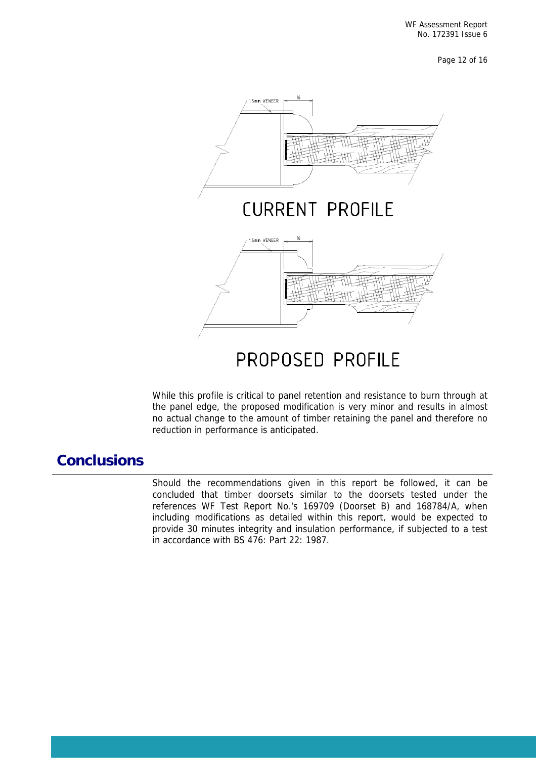Page 12 of 16



While this profile is critical to panel retention and resistance to burn through at the panel edge, the proposed modification is very minor and results in almost no actual change to the amount of timber retaining the panel and therefore no reduction in performance is anticipated.

# **Conclusions**

L

Should the recommendations given in this report be followed, it can be concluded that timber doorsets similar to the doorsets tested under the references WF Test Report No.'s 169709 (Doorset B) and 168784/A, when including modifications as detailed within this report, would be expected to provide 30 minutes integrity and insulation performance, if subjected to a test in accordance with BS 476: Part 22: 1987.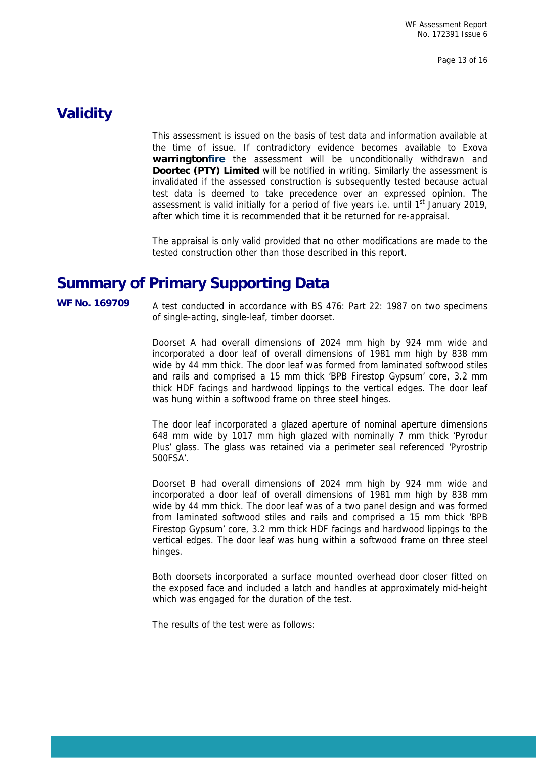Page 13 of 16

# **Validity**

This assessment is issued on the basis of test data and information available at the time of issue. If contradictory evidence becomes available to Exova **warringtonfire** the assessment will be unconditionally withdrawn and **Doortec (PTY) Limited** will be notified in writing. Similarly the assessment is invalidated if the assessed construction is subsequently tested because actual test data is deemed to take precedence over an expressed opinion. The assessment is valid initially for a period of five years i.e. until  $1<sup>st</sup>$  January 2019, after which time it is recommended that it be returned for re-appraisal.

The appraisal is only valid provided that no other modifications are made to the tested construction other than those described in this report.

# **Summary of Primary Supporting Data**

L

**WF No. 169709** A test conducted in accordance with BS 476: Part 22: 1987 on two specimens of single-acting, single-leaf, timber doorset.

> Doorset A had overall dimensions of 2024 mm high by 924 mm wide and incorporated a door leaf of overall dimensions of 1981 mm high by 838 mm wide by 44 mm thick. The door leaf was formed from laminated softwood stiles and rails and comprised a 15 mm thick 'BPB Firestop Gypsum' core, 3.2 mm thick HDF facings and hardwood lippings to the vertical edges. The door leaf was hung within a softwood frame on three steel hinges.

> The door leaf incorporated a glazed aperture of nominal aperture dimensions 648 mm wide by 1017 mm high glazed with nominally 7 mm thick 'Pyrodur Plus' glass. The glass was retained via a perimeter seal referenced 'Pyrostrip 500FSA'.

> Doorset B had overall dimensions of 2024 mm high by 924 mm wide and incorporated a door leaf of overall dimensions of 1981 mm high by 838 mm wide by 44 mm thick. The door leaf was of a two panel design and was formed from laminated softwood stiles and rails and comprised a 15 mm thick 'BPB Firestop Gypsum' core, 3.2 mm thick HDF facings and hardwood lippings to the vertical edges. The door leaf was hung within a softwood frame on three steel hinges.

> Both doorsets incorporated a surface mounted overhead door closer fitted on the exposed face and included a latch and handles at approximately mid-height which was engaged for the duration of the test.

The results of the test were as follows: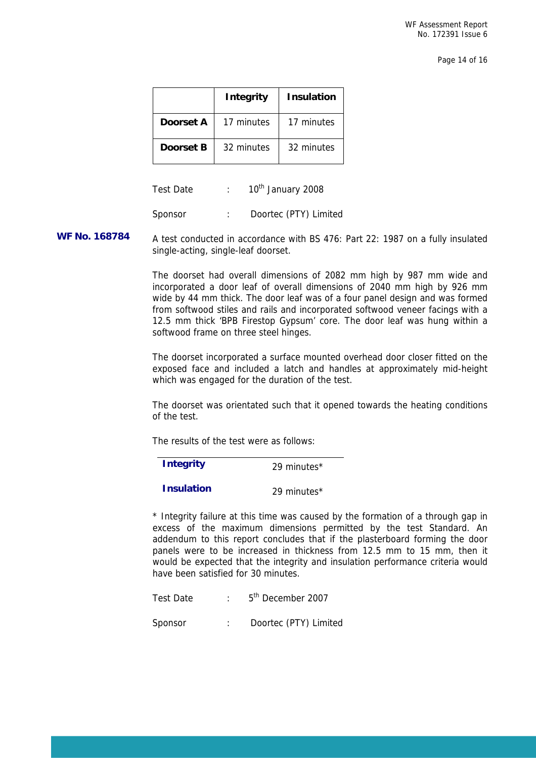Page 14 of 16

|           | <b>Integrity</b> | <b>Insulation</b> |
|-----------|------------------|-------------------|
| Doorset A | 17 minutes       | 17 minutes        |
| Doorset B | 32 minutes       | 32 minutes        |

Test Date : 10<sup>th</sup> January 2008

Sponsor : Doortec (PTY) Limited

WF No. 168784 A test conducted in accordance with BS 476: Part 22: 1987 on a fully insulated single-acting, single-leaf doorset.

> The doorset had overall dimensions of 2082 mm high by 987 mm wide and incorporated a door leaf of overall dimensions of 2040 mm high by 926 mm wide by 44 mm thick. The door leaf was of a four panel design and was formed from softwood stiles and rails and incorporated softwood veneer facings with a 12.5 mm thick 'BPB Firestop Gypsum' core. The door leaf was hung within a softwood frame on three steel hinges.

> The doorset incorporated a surface mounted overhead door closer fitted on the exposed face and included a latch and handles at approximately mid-height which was engaged for the duration of the test.

> The doorset was orientated such that it opened towards the heating conditions of the test.

The results of the test were as follows:

| <b>Integrity</b>  | 29 minutes* |
|-------------------|-------------|
| <b>Insulation</b> | 29 minutes* |

\* Integrity failure at this time was caused by the formation of a through gap in excess of the maximum dimensions permitted by the test Standard. An addendum to this report concludes that if the plasterboard forming the door panels were to be increased in thickness from 12.5 mm to 15 mm, then it would be expected that the integrity and insulation performance criteria would have been satisfied for 30 minutes.

Test Date : 5<sup>th</sup> December 2007

L

Sponsor : Doortec (PTY) Limited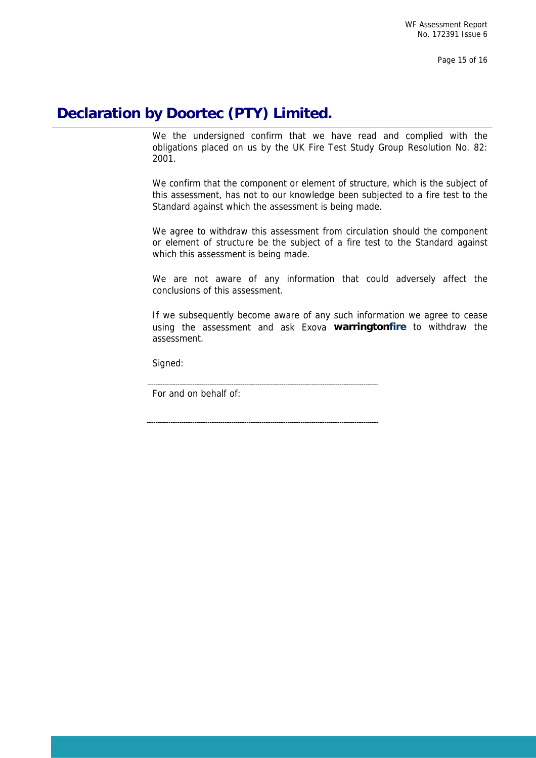Page 15 of 16

# **Declaration by Doortec (PTY) Limited.**

We the undersigned confirm that we have read and complied with the obligations placed on us by the UK Fire Test Study Group Resolution No. 82: 2001.

We confirm that the component or element of structure, which is the subject of this assessment, has not to our knowledge been subjected to a fire test to the Standard against which the assessment is being made.

We agree to withdraw this assessment from circulation should the component or element of structure be the subject of a fire test to the Standard against which this assessment is being made.

We are not aware of any information that could adversely affect the conclusions of this assessment.

If we subsequently become aware of any such information we agree to cease using the assessment and ask Exova **warringtonfire** to withdraw the assessment.

Signed:

L

For and on behalf of: